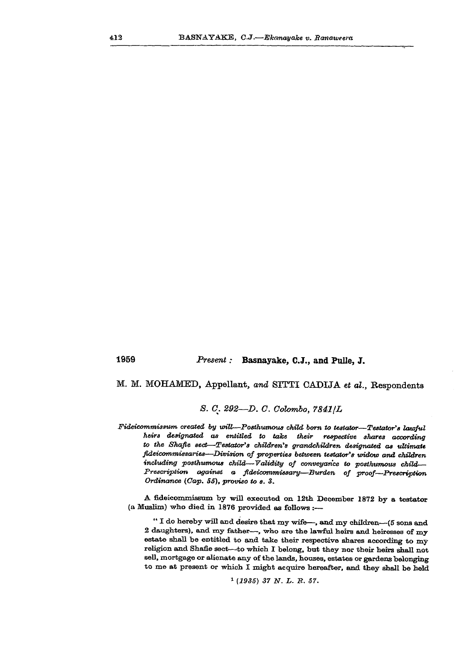## **1959** *Present:* **Basnayake, C.J., and Pulle, J.**

## **M. M. MOHAMED, Appellant,** *and* **SITTI CADIJA** *et al.,* **Respondents**

## *8.* **C.** *292—D. C. Colombo, 7841/L*

*Fideicommissum created by will—Posthumous child born to testator—Testator's lawful heirs designated as entitled to take their respective shares according to the Shafie sect—Testator's children's grandchildren designated as ultimate fideicommissaries—Division of properties between testator's widow and children including posthumous child—Validity of conveyance to posthumous child— Prescription against a fideicommissary—Burden of proof—Prescription Ordinance (Cap. 55), proviso to s. 3.* 

*A* fideicommissum by will executed on 12th December 1872 by a testator (a Muslim) who died in 1876 provided as follows :—

" I do hereby will and desire that my wife—, and my children—(5 sons and 2 daughters), and my father—, who are the lawful heirs and heiresses of my estate shall be entitled to and take their respective shares according to my religion and Shafie sect—-to which I belong, but they nor their heirs shall not sell, mortgage or alienate any of the lands, houses, estates or gardens belonging to me at present or which I might acquire hereafter, and they shall be held

```
1
(1935) 37 N. L. B. 51.
```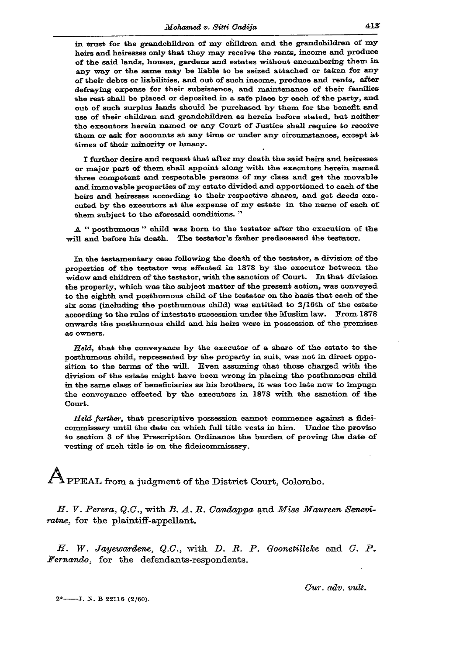in trust for the grandchildren of my children and the grandchildren of my heirs and heiresses only that they may receive the rents, income and produce of the said lands, houses, gardens and estates without encumbering them in any way or the same may be liable to be seized attached or taken for any of their debts or liabilities, and out of such income, produce and rents, after defraying expense for their subsistence, and maintenance of their families the rest shall be placed or deposited in a safe place by each of the party, and out of such surplus lands should be purchased by them for the benefit and use of their children and grandchildren as herein before stated, but neither the executors herein named or any Court of Justice shall require to receive them or ask for accounts at any time or under any circumstances, except at times of their minority or lunacy.

I further desire and request that after my death the said heirs and heiresses or major part of them shall appoint along with the executors herein named three competent and respectable persons of my class and get the movable and immovable properties of my estate divided and apportioned to each of the heirs and heiresses according to their respective shares, and get deeds executed by the executors at the expense of my estate in the name of each of them subject to the aforesaid conditions."

A " posthumous " child was born to the testator after the execution of the will and before his death. The testator's father predeceased the testator.

In the testamentary case following the death of the testator, a division of the properties of the testator was effected in 1878 by the executor between the widow and children of the testator, with the sanction of Court. In that division the property, which was the subject matter of the present action, was conveyed to the eighth and posthumous child of the testator on the basis that each of the six sons (including the posthumous child) was entitled to 2/16th of the estate according to the rules of intestate succession under the Muslim law. From 1878 onwards the posthumous child and his heirs were in possession of the premises as owners.

Held, that the conveyance by the executor of a share of the estate to the posthumous child, represented by the property in suit, was not in direct opposition to the terms of the will. Even assuming that those charged with the division of the estate might have been wrong in placing the posthumous child in the same class of beneficiaries as his brothers, it was too late now to impugn the conveyance effected by the executors in 1878 with the sanction of the Court.

*Held further,* that prescriptive possession cannot commence against a fideicommissary until the date on which full title vests in him. Under the proviso to section 3 of the Prescription Ordinance the burden of proving the date of vesting of such title is on the fideicommissary.

 ${\bf A}$ *<sup>J</sup> <sup>l</sup> %* **PPEAL from a judgment of the District Court, Colombo.** 

*H. V. Perera, Q.G.,* **with** *B. A. JR. Candappa* **and** *Miss Maureen Seneviratne,* **for the plaintiff-appellant.** 

*H. W. Jayewardene, Q.C.,* with *D. R. P. Goonetilleke* and *C. P. Fernando,* **for the defendants-respondents.** 

 $2^$  --- J. N. B 22116 (2/60).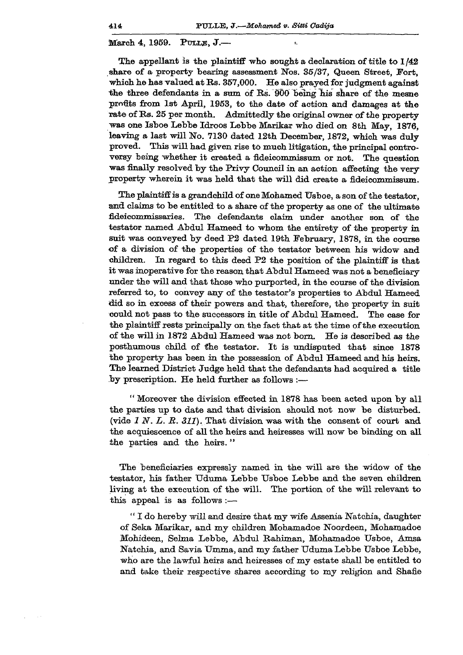**March 4, 1959. PTJLLE, J. —** 

**The appellant is the plaintiff who songht a declaration of title to 1/42 share of a property bearing assessment Nos. 35/37, Queen Street, Fort, which he has valued at Rs. 357,000. He also prayed for judgment against the three defendants in a sum of Rs. 900 being his share of the mesne profits from 1st April, 1953, to the date of action and damages at the rate of Rs. 25 per month. Admittedly the original owner of the propertywas one Isboe Lebbe Idroos Lebbe Marikar who died on 8th May, 1876, leaving a last will No. 7130 dated 12th December, 1872, which was duly proved. This will had given rise to much litigation, the principal contro**versy being whether it created a fideicommissum or not. The question **was finally resolved by the Privy Council in an action affecting the very property wherein it was held that the will did create a fideicommissum.** 

The plaintiff is a grandchild of one Mohamed Usboe, a son of the testator, **and claims to be entitled to a share of the property as one of the ultimate fideicommissaries. The defendants claim under another son of the testator named Abdul Hameed to whom the entirety of the property in suit was conveyed by deed P2 dated 19th February, 1878, in the course of a division of the properties of the testator between his widow and children. In regard to this deed P2 the position of the plaintiff is that it was inoperative for the reason that Abdul Hameed was not a beneficiary under the will and that those who purported, in the course of the division referred to, to convey any of the testator's properties to Abdul Hameed did so in excess of their powers and that, therefore, the property in suit could not pass to the successors in title of Abdul Hameed. The case for the plaintiff rests principally on the fact that at the time of the execution of the will in 1872 Abdul Hameed was not born. He is described as the posthumous child of the testator. It is undisputed that since 1878 the property has been in the possession of Abdul Hameed and his heirs. The learned District Judge held that the defendants had acquired a title by prescription. He held further as follows :—** 

**" Moreover the division effected in 1878 has been acted upon by all the parties up to date and that division should not now be disturbed, (vide** *1 N. L. R. 311).* **That division was with the consent of court and the acquiescence of all the heirs and heiresses will now be binding on all the parties and the heirs."** 

**The beneficiaries expressly named in the will are the widow of the**  testator, his father Uduma Lebbe Usboe Lebbe and the seven children **living at the execution of the will. The portion of the will relevant to this appeal is as follows:—** 

**" I do hereby will and desire that my wife Assenia Natchia, daughter of Seka Marikar, and my children Mohamadoe Noordeen, Mohamadoe Mohideen, Selma Lebbe, Abdul Rahiman, Mohamadoe TJsboe, Amsa**  Natchia, and Savia Umma, and my father Uduma Lebbe Usboe Lebbe, **who are the lawful heirs and heiresses of my estate shall be entitled to and take their respective shares according to my religion and Shafie**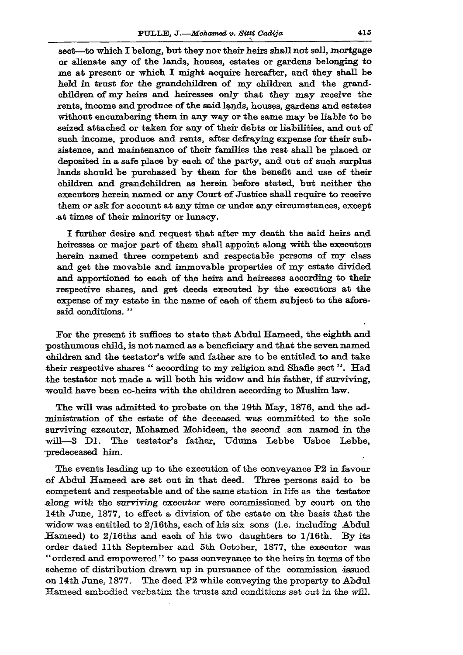**sect—to which. I belong, but they nor their heirs shall not sell, mortgage or alienate any of the lands, houses, estates or gardens belonging to me at present or which I might acquire hereafter, and they shall be held in trust for the grandchildren of my children and the grandchildren of my heirs and heiresses only that they may receive the rents, income and produce of the said lands, houses, gardens and estates without encumbering them in any way or the same may be liable to be seized attached or taken for any of their debts or liabilities, and out of such income, produce and rents, after defraying expense for their subsistence, and maintenance of their families the rest shall be placed or deposited in a safe place by each of the party, and out of such surplus lands should be purchased by them for the benefit and use of their children and grandchildren as herein before stated, but neither the executors herein named or any Court of Justice shall require to receive them or ask for account at any time or under any circumstances, except .at times of their minority or lunacy.** 

**I further desire and request that after my death the said heirs and heiresses or major part of them shall appoint along with the executors herein named three competent and respectable persons of my class and get the movable and immovable properties of my estate divided and apportioned to each of the heirs and heiresses according to their respective shares, and get deeds executed by the executors at the expense of my estate in the name of each of them subject to the aforesaid conditions. "** 

**For the present it suffices to state that Abdul Hameed, the eighth and posthumous child, is not named as a beneficiary and that the seven named children and the testator's wife and father are to be entitled to and take**  their respective shares " according to my religion and Shafie sect". Had **the testator not made a will both his widow and his father, if surviving, would have been co-heirs with the children according to Muslim law.** 

**The will was admitted to probate on the 19th May, 1876, and the administration of the estate of the deceased was committed to the sole surviving executor, Mohamed Mohideen, the second son named in the will—3 Dl. The testator's father, Uduma Lebbe Usboe Lebbe, predeceased him.** 

**The events leading up to the execution of the conveyance P2 in favour of Abdul Hameed are set out in that deed. Three persons said to be competent and respectable and of the same station in life as the testator along with the surviving executor were commissioned by court on the 14th June, 1877, to effect a division of the estate on the basis that the -widow was entitled to 2/16ths, each of his six sons (i.e. including Abdul Hameed) to 2/16ths and each of his two daughters to l/16th. By its order dated Ilth September and 5th October, 1877, the executor was " ordered and empowered " to pass conveyance to the heirs in terms of the scheme of distribution drawn up in pursuance of the commission issued on 14th June, 1877. The deed P2 while conveying the property to Abdul Hameed embodied verbatim the trusts and conditions set out in the will.**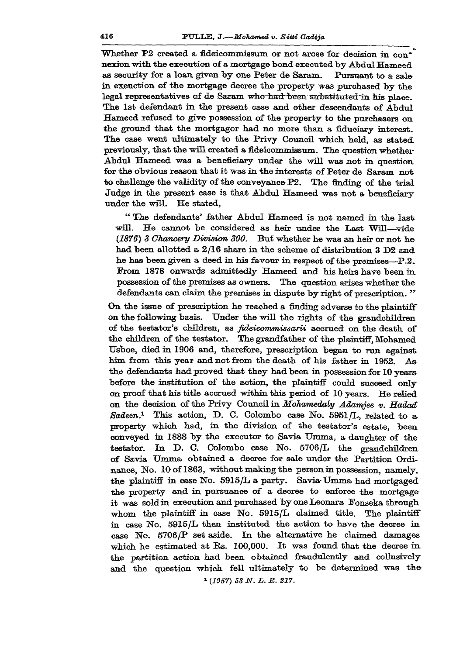Whether P2 created a fideicommissum or not arose for decision in con<sup>\*</sup> **nexion •with the execution of a mortgage bond executed by Abdul Hameed as security for a loan given by one Peter de Saram. Pursuant to a sale in exeuction of the mortgage decree the property was purchased by the**  legal representatives of de Saram who had been substituted in his place. **The 1st defendant in the present case and other descendants of Abdul Hameed refused to give possession of the property to the purchasers on the ground that the mortgagor had no more than a fiduciary interest. The case went ultimately to the Privy Council which held, as stated previously, that the will created a fideicommissum. The question whether Abdul Hameed was a beneficiary under the will was not in question for the obvious reason that it was in the interests of Peter de Saram not**  to challenge the validity of the conveyance P2. The finding of the trial **Judge in the present case is that Abdul Hameed was not a beneficiary under the will. He stated,** 

**" The defendants' father Abdul Hameed is not named in the last will. He cannot be considered as heir under the Last Will—vide**  *(1876) 3 Chancery Division 300.* **But whether he was an heir or not he had been allotted a 2/16 share in the scheme of distribution 3 D2 and he has been given a deed in his favour in respect of the premises—P.2. Prom 1878 onwards admittedly Hameed and his heirs have been in possession of the premises as owners. The question arises whether the defendants can claim the premises in dispute by right of prescription.** 

**On the issue of prescription he reached a finding adverse to the plaintiff on the following basis. Under the will the rights of the grandchildren of the testator's children, as** *fideicommissarii* **accrued on the death of the children of the testator. The grandfather of the plaintiff, Mohamed Usboe, died in 1906 and, therefore, prescription began to run against him from this year and not from the death of his father in 1952. Asthe defendants had proved that they had been in possession for 10 years before the institution of the action, the plaintiff could succeed only on proof that his title accrued within this period of 10 years. He relied on the decision of the Privy Council in** *Mohamedaly Adamjee v. Eadad Sadeen.<sup>1</sup>*  **This action, D. C. Colombo case No. 5951 /L, related to a property which had, in the division of the testator's estate, been conveyed in 1888 by the executor to Savia Umma, a daughter of the testator. In D. C. Colombo case No. 5706/L the grandchildren of Savia Umma obtained a decree for sale under the Partition Ordinance, No. 10 of 1863, without making the person in possession, namely, the plaintiff in case No. 5915/L a party. Savia Umma had mortgaged the property and in pursuance of a decree to enforce the mortgage it was sold in execution and purchased byoneLeonara Fonseka through whom the plaintiff in case No. 5915/L claimed title. The plaintiff in case No. 5915/L then instituted the action to have the decree in case No. 5706/P set aside. In the alternative he claimed damages which he estimated at Rs. 100,000. It was found that the decree in the partition action had been obtained fraudulently and collusively and the question which fell ultimately to be determined was the**   *(1957) 58 N. L. B. 217.*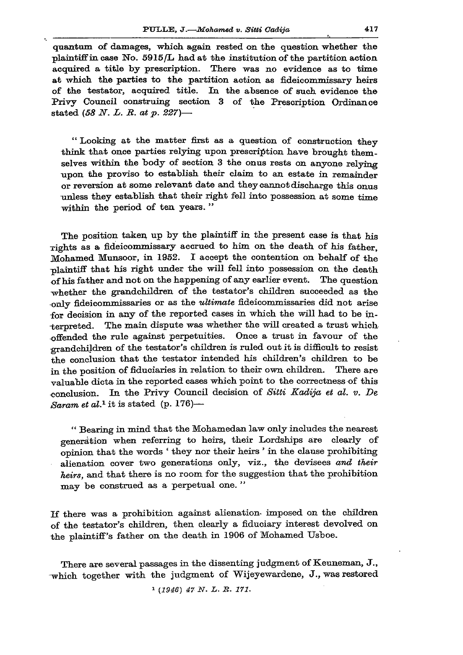**quantum of damages, which again rested on the question whether the plaintiff in case No. 5915/L had at the institution of the partition action acquired a title by prescription. There was no evidence as to time at which the parties to the partition action as fideicommissary heirs of the testator, acquired title. In the absence of such evidence the Privy Council construing section 3 of the Prescription Ordinance stated** *(58 N. L. B. at p. 227)—* 

**" Looking at the matter first as a question of construction they think that once parties relying upon prescription have brought themselves within the body of section 3 the onus rests on anyone relying upon the proviso to establish their claim to an estate in remainder or reversion at some relevant date and they cannot discharge this onus unless they establish that their right fell into possession at some time within the period of ten years. "** 

**The position taken up by the plaintiff in the present case is that his Tights as a fideicommissary accrued to him on the death of his father, Mohamed Munsoor, in 1952. I accept the contention on behalf of the plaintiff that his right under the will fell into possession on the death of his father and not on the happening of any earlier event. The question -whether the grandchildren of the testator's children succeeded as the •only fideicommissaries or as the** *ultimate* **fideicommissaries did not arise for decision in any of the reported cases in which the will had to be ia- -fcerpreted. The main dispute was whether the will created a trust which offended the rule against perpetuities. Once a trust in favour of the grandchildren of the testator's children is ruled out it is difficult to resist the conclusion that the testator intended his children's children to be in the position of fiduciaries in relation to their own children. There are valuable dicta in the reported cases which point to the correctness of this conclusion. In the Privy Council decision of** *Sitti Kadija et al. v. De Saram et al.<sup>1</sup>*  **it is stated (p. 176)—** 

**" Bearing in mind that the Mohamedan law only includes the nearest generation when referring to heirs, their Lordships are clearly of opinion that the words ' they nor their heirs ' in the clause prohibiting alienation cover two generations only, viz., the devisees** *and their heirs,* **and that there is no room for the suggestion that the prohibition may be construed as a perpetual one."** 

**If there was a prohibition against alienation- imposed on the children of the testator's children, then clearly a fiduciary interest devolved on the plaintiff's father on the death in 1906 of Mohamed Usboe.** 

**There are several passages in the dissenting judgment of Keuneman, J. , which together with the judgment of Wijeyewardene, J. , was restored** 

*1 (1946) 47 N. L. S. 171.*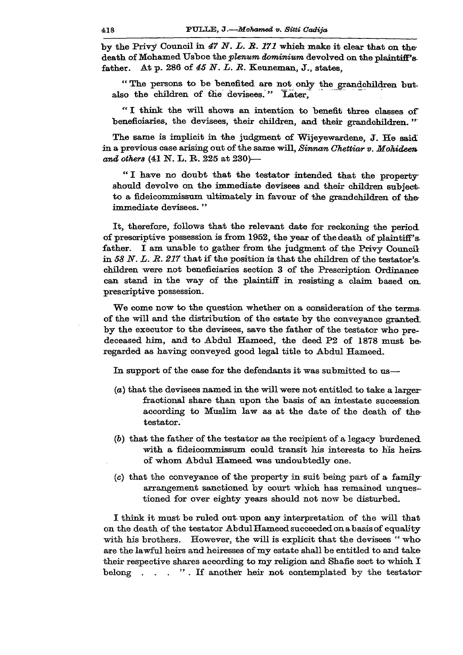**by the Privy Council in** *47 N. L. B. 171* **which make it clear that on the**  death of Mohamed Usboe the *plenum dominium* devolved on the plaintiff's **father. At p. 286 of** *45 N. L. B.* **Keuneman, J. , states,** 

**" The persons to be benefited are not only the grandchildren but.**  also the children of the devisees." Later,

**" I think the will shows an intention to benefit three classes of beneficiaries, the devisees, their children, and their grandchildren."'** 

**The same is implicit in the judgment of Wijeyewardene, J . He said in a previous case arising out of the same will,** *Sinnan Ghettiar v. Mohideen and others* **(41 N. L. R. 225 at 230)—** 

**" I have no doubt that the testator intended that the property**should devolve on the immediate devisees and their children subject**to a fideicommissum ultimately in favour of the grandchildren of the immediate devisees."** 

**It, therefore, follows that the relevant date for reckoning the period of prescriptive possession is from 1952, the year of the death of plaintiff'sfather. I am unable to gather from the judgment of the Privy Council in** *58 N. L. R. 217* **that if the position is that the children of the testator's, children were not beneficiaries section 3 of the Prescription Ordinance can stand in the way of the plaintiff in resisting a claim based on prescriptive possession.** 

**We come now to the question whether on a consideration of the termsof the will and the distribution of the estate by the conveyance granted, by the executor to the devisees, save the father of the testator who predeceased him, and to Abdul Hameed, the deed P2 of 1878 must be regarded as having conveyed good legal title to Abdul Hameed.** 

**In support of the case for the defendants it was submitted to us—** 

- *(a)* **that the devisees named in the will were not entitled to take a larger fractional share than upon the basis of an intestate succession according to Muslim law as at the date of the death of the testator.**
- *(b)* **that the father of the testator as the recipient of a legacy burdened with a fideicommissum could transit his interests to his heirsof whom Abdul Hameed was undoubtedly one.**
- **(e) that the conveyance of the property in suit being part of a familyarrangement sanctioned by court which has remained unquestioned for over eighty years should not now be disturbed.**

**I think it must be ruled out upon any interpretation of the will that on the death of the testator AbdulHameedsucceededonabasisof equality with his brothers. However, the will is explicit that the devisees " who are the lawful heirs and heiresses of my estate shall be entitled to and take their respective shares according to my religion and Shafie sect to whieh I belong . . . " . If another heir not contemplated by the testator-**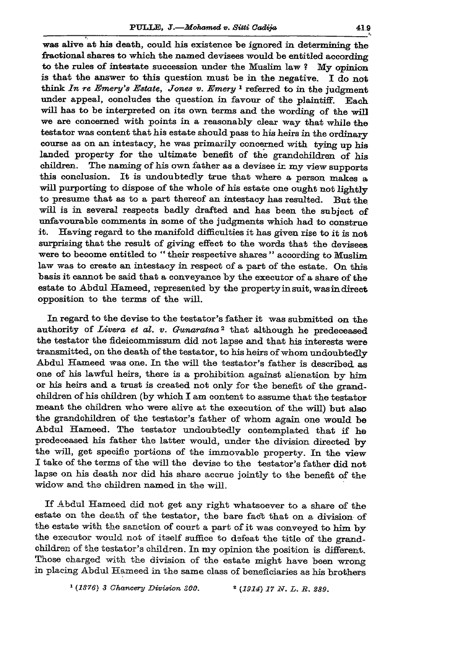was alive at his death, could his existence be ignored in determining the **fractional shares to which the named devisees would be entitled according**  to the rules of intestate succession under the Muslim law ?  $Mv$  opinion **is that the answer to this question must be in the negative. I do not**  think In re Emery's Estate, Jones v. Emery<sup>1</sup> referred to in the judgment **under appeal, concludes the question in favour of the plaintiff. Each will has to be interpreted on its own terms and the wording of the will**  we are concerned with points in a reasonably clear way that while the **testator was content that his estate should pass to his heirs in the ordinary course as on an intestacy, he was primarily concerned with tying up his**  landed property for the ultimate benefit of the grandchildren of his children. The naming of his own father as a devisee in my view supports The naming of his own father as a devisee ir. my view supports **this conclusion. It is undoubtedly true that where a person makes a will purporting to dispose of the whole of his estate one ought not lightly to presume that as to a part thereof an intestacy has resulted. But the will is in several respects badly drafted and has been the subject of unfavourable comments in some of the judgments which had to construe it. Having regard to the manifold difficulties it has given rise to it is not surprising that the result of giving effect to the words that the devisees were to become entitled to " their respective shares " according to Muslim**  law was to create an intestacy in respect of a part of the estate. On this **basis it cannot be said that a conveyance by the executor of a share of the estate to Abdul Hameed, represented by the property in suit, was in direct opposition to the terms of the will.** 

**In regard to the devise to the testator's father it was submitted on the**  authority of *Livera et al. v. Gunaratna*<sup>2</sup> that although he predeceased **the testator the fideicommissum did not lapse and that his interests were transmitted, on the death of the testator, to his heirs of whom undoubtedly Abdul Hameed was one. In the will the testator's father is described as one of bis lawful heirs, there is a prohibition against alienation by him or his heirs and a trust is created not only for the benefit of the grandchildren of his children (by which I am content to assume that the testator meant the children who were alive at the execution of the will) but also the grandchildren of the testator's father of whom again one would be Abdul Hameed. The testator undoubtedly contemplated that if he predeceased his father the latter would, under the division directed by the will, get specific portions of the immovable property. In the view I take of the terms of the will the devise to the testator's father did not lapse on his death nor did his share accrue jointly to the benefit of the widow and the children named in the will.** 

**If Abdul Hameed did not get any right whatsoever to a share of the estate on the death of the testator, the bare fact that on a division of the estate with the sanction of court a part of it was conveyed to** him **by the executor would not of itself suffice to defeat the title of the grandchildren of the testator's children. In my opinion the position is different. Those charged with the division of the estate might have been wrong in placing Abdul Hameed in the same class of beneficiaries as his brothers** 

<sup>1</sup> (1876) 3 Chancery Division 300. **8** (1914) 17 N. L. R. 289.